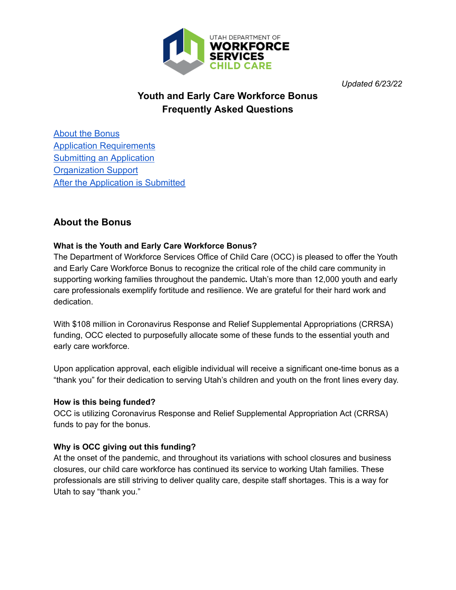

*Updated 6/23/22*

# **Youth and Early Care Workforce Bonus Frequently Asked Questions**

[About the Bonus](#page-0-0) [Application Requirements](#page-2-0) [Submitting an Application](#page-3-0) [Organization Support](#page-5-0) [After the Application is Submitted](#page-6-0)

## <span id="page-0-0"></span>**About the Bonus**

## **What is the Youth and Early Care Workforce Bonus?**

The Department of Workforce Services Office of Child Care (OCC) is pleased to offer the Youth and Early Care Workforce Bonus to recognize the critical role of the child care community in supporting working families throughout the pandemic**.** Utah's more than 12,000 youth and early care professionals exemplify fortitude and resilience. We are grateful for their hard work and dedication.

With \$108 million in Coronavirus Response and Relief Supplemental Appropriations (CRRSA) funding, OCC elected to purposefully allocate some of these funds to the essential youth and early care workforce.

Upon application approval, each eligible individual will receive a significant one-time bonus as a "thank you" for their dedication to serving Utah's children and youth on the front lines every day.

## **How is this being funded?**

OCC is utilizing Coronavirus Response and Relief Supplemental Appropriation Act (CRRSA) funds to pay for the bonus.

## **Why is OCC giving out this funding?**

At the onset of the pandemic, and throughout its variations with school closures and business closures, our child care workforce has continued its service to working Utah families. These professionals are still striving to deliver quality care, despite staff shortages. This is a way for Utah to say "thank you."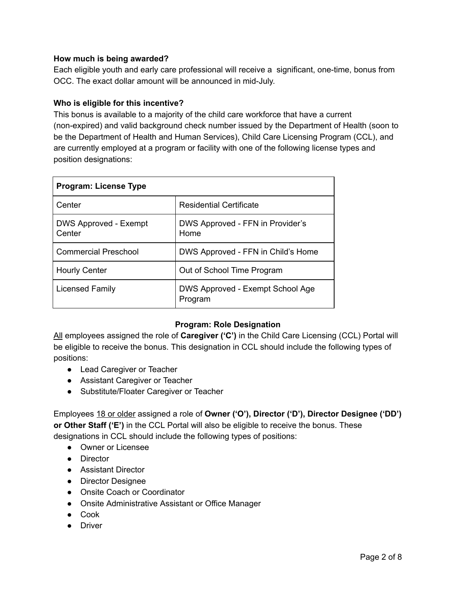## **How much is being awarded?**

Each eligible youth and early care professional will receive a significant, one-time, bonus from OCC. The exact dollar amount will be announced in mid-July.

## **Who is eligible for this incentive?**

This bonus is available to a majority of the child care workforce that have a current (non-expired) and valid background check number issued by the Department of Health (soon to be the Department of Health and Human Services), Child Care Licensing Program (CCL), and are currently employed at a program or facility with one of the following license types and position designations:

| <b>Program: License Type</b>           |                                             |
|----------------------------------------|---------------------------------------------|
| Center                                 | <b>Residential Certificate</b>              |
| <b>DWS Approved - Exempt</b><br>Center | DWS Approved - FFN in Provider's<br>Home    |
| <b>Commercial Preschool</b>            | DWS Approved - FFN in Child's Home          |
| <b>Hourly Center</b>                   | Out of School Time Program                  |
| Licensed Family                        | DWS Approved - Exempt School Age<br>Program |

## **Program: Role Designation**

All employees assigned the role of **Caregiver ('C')** in the Child Care Licensing (CCL) Portal will be eligible to receive the bonus. This designation in CCL should include the following types of positions:

- Lead Caregiver or Teacher
- Assistant Caregiver or Teacher
- Substitute/Floater Caregiver or Teacher

Employees 18 or older assigned a role of **Owner ('O'), Director ('D'), Director Designee ('DD') or Other Staff ('E')** in the CCL Portal will also be eligible to receive the bonus. These designations in CCL should include the following types of positions:

- Owner or Licensee
- Director
- Assistant Director
- Director Designee
- Onsite Coach or Coordinator
- Onsite Administrative Assistant or Office Manager
- Cook
- Driver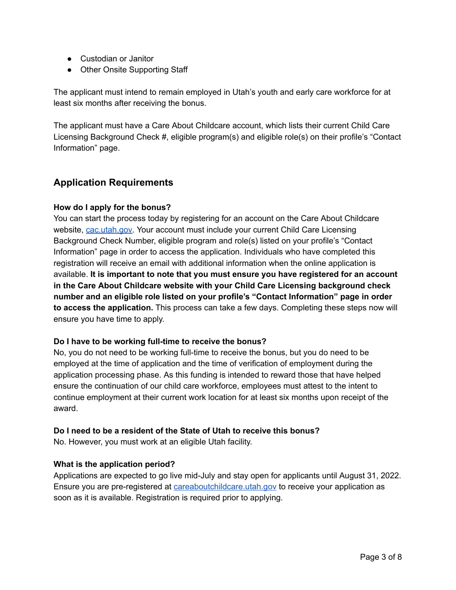- Custodian or Janitor
- Other Onsite Supporting Staff

The applicant must intend to remain employed in Utah's youth and early care workforce for at least six months after receiving the bonus.

The applicant must have a Care About Childcare account, which lists their current Child Care Licensing Background Check #, eligible program(s) and eligible role(s) on their profile's "Contact Information" page.

## <span id="page-2-0"></span>**Application Requirements**

## **How do I apply for the bonus?**

You can start the process today by registering for an account on the Care About Childcare website, [cac.utah.gov.](https://careaboutchildcare.utah.gov/) Your account must include your current Child Care Licensing Background Check Number, eligible program and role(s) listed on your profile's "Contact Information" page in order to access the application. Individuals who have completed this registration will receive an email with additional information when the online application is available. **It is important to note that you must ensure you have registered for an account in the Care About Childcare website with your Child Care Licensing background check number and an eligible role listed on your profile's "Contact Information" page in order to access the application.** This process can take a few days. Completing these steps now will ensure you have time to apply.

## **Do I have to be working full-time to receive the bonus?**

No, you do not need to be working full-time to receive the bonus, but you do need to be employed at the time of application and the time of verification of employment during the application processing phase. As this funding is intended to reward those that have helped ensure the continuation of our child care workforce, employees must attest to the intent to continue employment at their current work location for at least six months upon receipt of the award.

## **Do I need to be a resident of the State of Utah to receive this bonus?**

No. However, you must work at an eligible Utah facility.

## **What is the application period?**

Applications are expected to go live mid-July and stay open for applicants until August 31, 2022. Ensure you are pre-registered at **[careaboutchildcare.utah.gov](https://careaboutchildcare.utah.gov/)** to receive your application as soon as it is available. Registration is required prior to applying.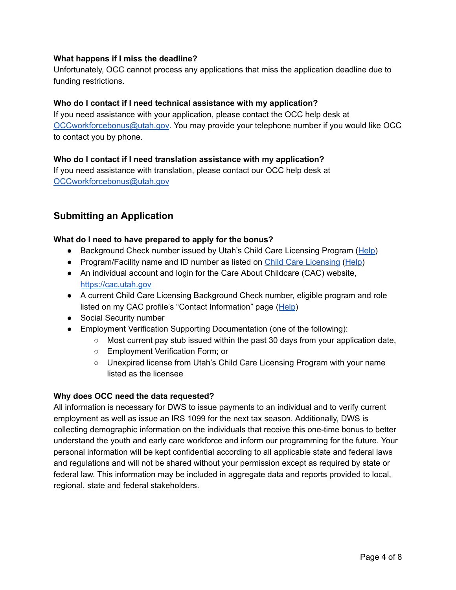## **What happens if I miss the deadline?**

Unfortunately, OCC cannot process any applications that miss the application deadline due to funding restrictions.

## **Who do I contact if I need technical assistance with my application?**

If you need assistance with your application, please contact the OCC help desk at [OCCworkforcebonus@utah.gov](mailto:OCCworkforcebonus@utah.gov). You may provide your telephone number if you would like OCC to contact you by phone.

## **Who do I contact if I need translation assistance with my application?**

If you need assistance with translation, please contact our OCC help desk at [OCCworkforcebonus@utah.gov](mailto:OCCworkforcebonus@utah.gov)

## <span id="page-3-0"></span>**Submitting an Application**

## **What do I need to have prepared to apply for the bonus?**

- Background Check number issued by Utah's Child Care Licensing Program ([Help\)](https://jobs.utah.gov/occ/cachelp/helpcclbcuid.pdf)
- Program/Facility name and ID number as listed on Child Care [Licensing](https://ccl.utah.gov/ccl/#/facilities) ([Help](https://jobs.utah.gov/covid19/occops/licenseid.pdf))
- An individual account and login for the Care About Childcare (CAC) website, [https://cac.utah.gov](https://cac.utah.gov/)
- A current Child Care Licensing Background Check number, eligible program and role listed on my CAC profile's "Contact Information" page [\(Help\)](https://jobs.utah.gov/covid19/occops/verifyelig.pdf)
- Social Security number
- Employment Verification Supporting Documentation (one of the following):
	- Most current pay stub issued within the past 30 days from your application date,
	- Employment Verification Form; or
	- Unexpired license from Utah's Child Care Licensing Program with your name listed as the licensee

## **Why does OCC need the data requested?**

All information is necessary for DWS to issue payments to an individual and to verify current employment as well as issue an IRS 1099 for the next tax season. Additionally, DWS is collecting demographic information on the individuals that receive this one-time bonus to better understand the youth and early care workforce and inform our programming for the future. Your personal information will be kept confidential according to all applicable state and federal laws and regulations and will not be shared without your permission except as required by state or federal law. This information may be included in aggregate data and reports provided to local, regional, state and federal stakeholders.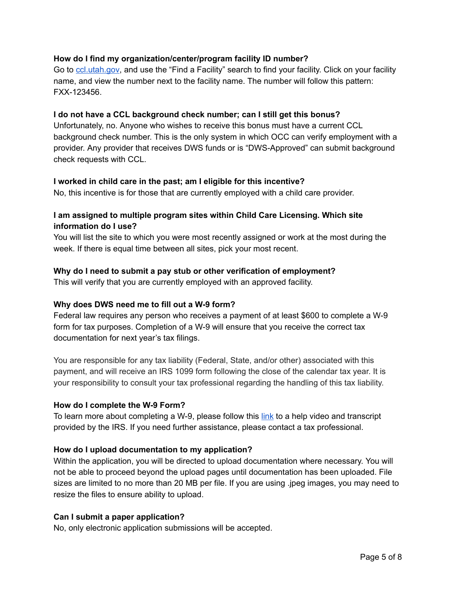## **How do I find my organization/center/program facility ID number?**

Go to [ccl.utah.gov](https://ccl.utah.gov/), and use the "Find a Facility" search to find your facility. Click on your facility name, and view the number next to the facility name. The number will follow this pattern: FXX-123456.

## **I do not have a CCL background check number; can I still get this bonus?**

Unfortunately, no. Anyone who wishes to receive this bonus must have a current CCL background check number. This is the only system in which OCC can verify employment with a provider. Any provider that receives DWS funds or is "DWS-Approved" can submit background check requests with CCL.

## **I worked in child care in the past; am I eligible for this incentive?**

No, this incentive is for those that are currently employed with a child care provider.

## **I am assigned to multiple program sites within Child Care Licensing. Which site information do I use?**

You will list the site to which you were most recently assigned or work at the most during the week. If there is equal time between all sites, pick your most recent.

#### **Why do I need to submit a pay stub or other verification of employment?**

This will verify that you are currently employed with an approved facility.

## **Why does DWS need me to fill out a W-9 form?**

Federal law requires any person who receives a payment of at least \$600 to complete a W-9 form for tax purposes. Completion of a W-9 will ensure that you receive the correct tax documentation for next year's tax filings.

You are responsible for any tax liability (Federal, State, and/or other) associated with this payment, and will receive an IRS 1099 form following the close of the calendar tax year. It is your responsibility to consult your tax professional regarding the handling of this tax liability.

#### **How do I complete the W-9 Form?**

To learn more about completing a W-9, please follow this [link](https://www.irsvideos.gov/Individual/Resources/HowToCompleteFormW-9) to a help video and transcript provided by the IRS. If you need further assistance, please contact a tax professional.

#### **How do I upload documentation to my application?**

Within the application, you will be directed to upload documentation where necessary. You will not be able to proceed beyond the upload pages until documentation has been uploaded. File sizes are limited to no more than 20 MB per file. If you are using .jpeg images, you may need to resize the files to ensure ability to upload.

#### **Can I submit a paper application?**

No, only electronic application submissions will be accepted.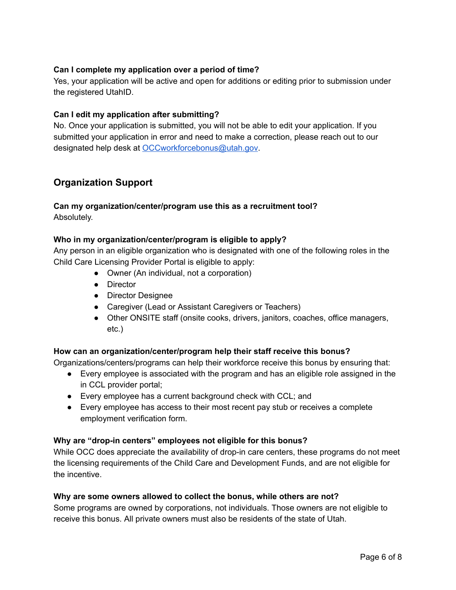## **Can I complete my application over a period of time?**

Yes, your application will be active and open for additions or editing prior to submission under the registered UtahID.

## **Can I edit my application after submitting?**

No. Once your application is submitted, you will not be able to edit your application. If you submitted your application in error and need to make a correction, please reach out to our designated help desk at [OCCworkforcebonus@utah.gov](mailto:OCCworkforcebonus@utah.gov).

## <span id="page-5-0"></span>**Organization Support**

## **Can my organization/center/program use this as a recruitment tool?**

Absolutely.

## **Who in my organization/center/program is eligible to apply?**

Any person in an eligible organization who is designated with one of the following roles in the Child Care Licensing Provider Portal is eligible to apply:

- Owner (An individual, not a corporation)
- Director
- Director Designee
- Caregiver (Lead or Assistant Caregivers or Teachers)
- Other ONSITE staff (onsite cooks, drivers, janitors, coaches, office managers, etc.)

## **How can an organization/center/program help their staff receive this bonus?**

Organizations/centers/programs can help their workforce receive this bonus by ensuring that:

- Every employee is associated with the program and has an eligible role assigned in the in CCL provider portal;
- Every employee has a current background check with CCL; and
- Every employee has access to their most recent pay stub or receives a complete employment verification form.

## **Why are "drop-in centers" employees not eligible for this bonus?**

While OCC does appreciate the availability of drop-in care centers, these programs do not meet the licensing requirements of the Child Care and Development Funds, and are not eligible for the incentive.

## **Why are some owners allowed to collect the bonus, while others are not?**

Some programs are owned by corporations, not individuals. Those owners are not eligible to receive this bonus. All private owners must also be residents of the state of Utah.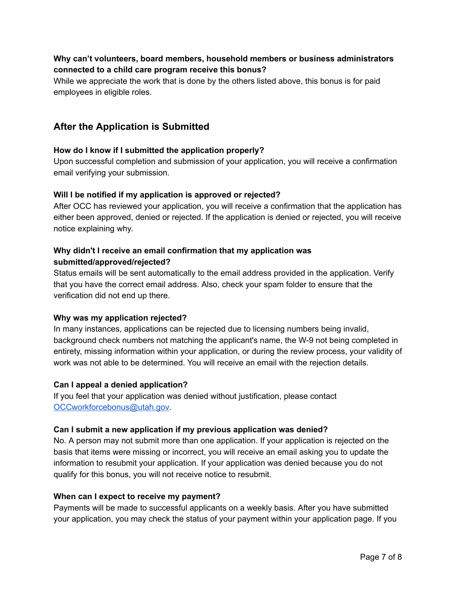## **Why can't volunteers, board members, household members or business administrators connected to a child care program receive this bonus?**

While we appreciate the work that is done by the others listed above, this bonus is for paid employees in eligible roles.

## <span id="page-6-0"></span>**After the Application is Submitted**

## **How do I know if I submitted the application properly?**

Upon successful completion and submission of your application, you will receive a confirmation email verifying your submission.

## **Will I be notified if my application is approved or rejected?**

After OCC has reviewed your application, you will receive a confirmation that the application has either been approved, denied or rejected. If the application is denied or rejected, you will receive notice explaining why.

## **Why didn't I receive an email confirmation that my application was submitted/approved/rejected?**

Status emails will be sent automatically to the email address provided in the application. Verify that you have the correct email address. Also, check your spam folder to ensure that the verification did not end up there.

## **Why was my application rejected?**

In many instances, applications can be rejected due to licensing numbers being invalid, background check numbers not matching the applicant's name, the W-9 not being completed in entirety, missing information within your application, or during the review process, your validity of work was not able to be determined. You will receive an email with the rejection details.

## **Can I appeal a denied application?**

If you feel that your application was denied without justification, please contact [OCCworkforcebonus@utah.gov](mailto:OCCworkforcebonus@utah.gov).

## **Can I submit a new application if my previous application was denied?**

No. A person may not submit more than one application. If your application is rejected on the basis that items were missing or incorrect, you will receive an email asking you to update the information to resubmit your application. If your application was denied because you do not qualify for this bonus, you will not receive notice to resubmit.

## **When can I expect to receive my payment?**

Payments will be made to successful applicants on a weekly basis. After you have submitted your application, you may check the status of your payment within your application page. If you